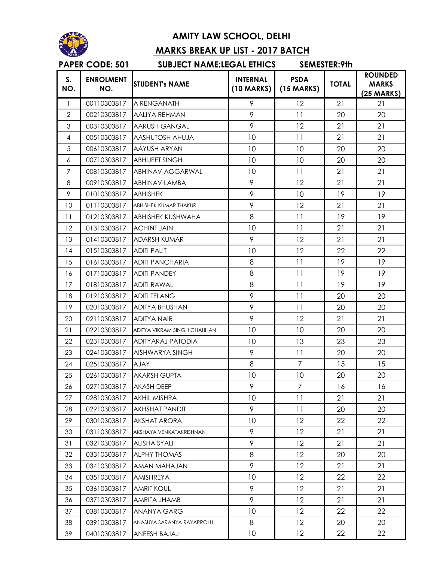

## **AMITY LAW SCHOOL, DELHI MARKS BREAK UP LIST - 2017 BATCH**

## **S. NO. ENROLMENT NO.** STUDENT's NAME **INTERNAL**<br>
NO. **INTERNAL (10 MARKS) PSDA (15 MARKS) TOTAL ROUNDED MARKS (25 MARKS)** 1 00110303817 A RENGANATH 9 12 21 21 21 2 00210303817 AALIYA REHMAN 9 11 20 20 3 00310303817 AARUSH GANGAL 9 12 21 21 21 4 00510303817 AASHUTOSH AHUJA 10 10 11 21 21 5 00610303817 AAYUSH ARYAN 10 10 10 20 20 6 00710303817 ABHIJEET SINGH 10 10 20 20 7 00810303817 ABHINAV AGGARWAL 10 10 11 21 21 8 00910303817 ABHINAV LAMBA 19 9 12 21 21 9 01010303817 ABHISHEK 19 9 10 19 19 10 01110303817 ABHISHEK KUMAR THAKUR 19 12 21 21 11 01210303817 ABHISHEK KUSHWAHA 1 8 1 11 19 19 12 01310303817 ACHINT JAIN 10 10 11 21 21 13 01410303817 ADARSH KUMAR 19 9 12 21 21 14 01510303817 ADITI PALIT 10 10 12 22 22 15 01610303817 ADITI PANCHARIA 8 8 11 19 19 16 01710303817 ADITI PANDEY 8 1 1 19 19 17 01810303817 ADITI RAWAL 8 1 1 19 19 18 01910303817 ADITI TELANG 19 1 9 1 1 20 20 19 02010303817 ADITYA BHUSHAN 9 9 11 20 20 20 02110303817 ADITYA NAIR 19 12 21 21 21 21 02210303817 ADITYA VIKRAM SINGH CHAUHAN 10 10 10 20 20 22 02310303817 ADITYARAJ PATODIA 10 13 23 23 23 02410303817 AISHWARYA SINGH 9 11 20 20 24 02510303817 AJAY 8 8 7 15 15 25 02610303817 AKARSH GUPTA 10 10 10 20 20 26 02710303817 AKASH DEEP 9 7 7 16 16 27 02810303817 AKHIL MISHRA 10 10 11 21 21 28 02910303817 AKHSHAT PANDIT 9 11 20 20 29 03010303817 AKSHAT ARORA 10 10 12 22 22 30 03110303817 AKSHAYA VENKATAKRISHNAN 9 12 21 21 31 03210303817 ALISHA SYALI 9 9 12 21 21 32 03310303817 ALPHYTHOMAS 8 1 22 20 20 33 03410303817 AMAN MAHAJAN 9 12 21 21 34 03510303817 AMISHREYA 10 10 12 22 22 35 03610303817 AMRIT KOUL 9 12 21 21 36 03710303817 AMRITA JHAMB 9 9 12 21 21 37 03810303817 ANANYA GARG 10 10 22 22 22 38 03910303817 ANASUYA SARANYA RAYAPROLU 8 12 20 20 39 04010303817 ANEESH BAJAJ 10 10 12 22 22 **PAPER CODE: 501 SUBJECT NAME:LEGAL ETHICS SEMESTER:9th**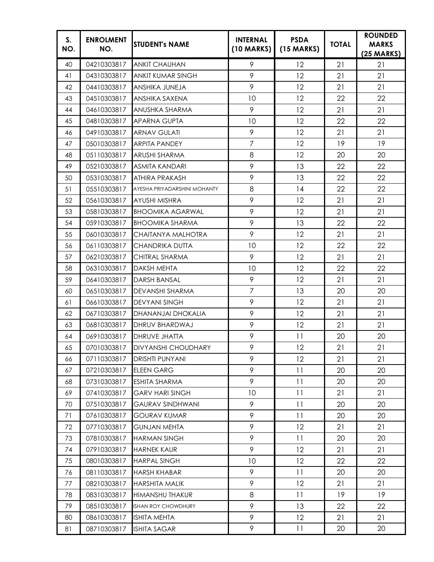| S.<br>NO. | <b>ENROLMENT</b><br>NO. | <b>STUDENT's NAME</b>           | <b>INTERNAL</b><br>$(10$ MARKS) | <b>PSDA</b><br>$(15$ MARKS) | <b>TOTAL</b> | <b>ROUNDED</b><br><b>MARKS</b><br>$(25 \text{ MARKS})$ |
|-----------|-------------------------|---------------------------------|---------------------------------|-----------------------------|--------------|--------------------------------------------------------|
| 40        | 04210303817             | <b>ANKIT CHAUHAN</b>            | 9                               | 12                          | 21           | 21                                                     |
| 41        | 04310303817             | <b>ANKIT KUMAR SINGH</b>        | 9                               | 12                          | 21           | 21                                                     |
| 42        | 04410303817             | ANSHIKA JUNEJA                  | 9                               | 12                          | 21           | 21                                                     |
| 43        | 04510303817             | ANSHIKA SAXENA                  | 10                              | 12                          | 22           | 22                                                     |
| 44        | 04610303817             | ANUSHKA SHARMA                  | 9                               | 12                          | 21           | 21                                                     |
| 45        | 04810303817             | <b>APARNA GUPTA</b>             | 10                              | 12                          | 22           | 22                                                     |
| 46        | 04910303817             | <b>ARNAV GULATI</b>             | 9                               | 12                          | 21           | 21                                                     |
| 47        | 05010303817             | <b>ARPITA PANDEY</b>            | $\overline{7}$                  | 12                          | 19           | 19                                                     |
| 48        | 05110303817             | <b>ARUSHI SHARMA</b>            | 8                               | 12                          | 20           | 20                                                     |
| 49        | 05210303817             | <b>ASMITA KANDARI</b>           | 9                               | 13                          | 22           | 22                                                     |
| 50        | 05310303817             | <b>ATHIRA PRAKASH</b>           | 9                               | 13                          | 22           | 22                                                     |
| 51        | 05510303817             | AYESHA PRIYADARSHINI MOHANTY    | 8                               | 14                          | 22           | 22                                                     |
| 52        | 05610303817             | AYUSHI MISHRA                   | 9                               | 12                          | 21           | 21                                                     |
| 53        | 05810303817             | <b>BHOOMIKA AGARWAL</b>         | 9                               | 12                          | 21           | 21                                                     |
| 54        | 05910303817             | <b>BHOOMIKA SHARMA</b>          | 9                               | 13                          | 22           | 22                                                     |
| 55        | 06010303817             | CHAITANYA MALHOTRA              | 9                               | 12                          | 21           | 21                                                     |
| 56        | 06110303817             | <b>CHANDRIKA DUTTA</b>          | 10                              | 12                          | 22           | 22                                                     |
| 57        | 06210303817             | CHITRAL SHARMA                  | 9                               | 12                          | 21           | 21                                                     |
| 58        | 06310303817             | <b>DAKSH MEHTA</b>              | 10                              | 12                          | 22           | 22                                                     |
| 59        | 06410303817             | <b>DARSH BANSAL</b>             | 9                               | 12                          | 21           | 21                                                     |
| 60        | 06510303817             | DEVANSHI SHARMA                 | $\overline{7}$                  | 13                          | 20           | 20                                                     |
| 61        | 06610303817             | <b>DEVYANI SINGH</b>            | 9                               | 12                          | 21           | 21                                                     |
| 62        | 06710303817             | DHANANJAI DHOKALIA              | 9                               | 12                          | 21           | 21                                                     |
| 63        | 06810303817             | DHRUV BHARDWAJ                  | 9                               | 12                          | 21           | 21                                                     |
| 64        | 06910303817             | <b>DHRUVE JHATTA</b>            | 9                               | 11                          | 20           | 20                                                     |
| 65        |                         | 07010303817 DIVYANSHI CHOUDHARY | 9                               | 12                          | 21           | 21                                                     |
| 66        | 07110303817             | <b>DRISHTI PUNYANI</b>          | 9                               | $12 \,$                     | 21           | 21                                                     |
| 67        | 07210303817             | <b>ELEEN GARG</b>               | 9                               | 11                          | 20           | 20                                                     |
| 68        | 07310303817             | ESHITA SHARMA                   | 9                               | 11                          | 20           | 20                                                     |
| 69        | 07410303817             | <b>GARV HARI SINGH</b>          | 10                              | 11                          | 21           | 21                                                     |
| 70        | 07510303817             | <b>GAURAV SINDHWANI</b>         | 9                               | 11                          | 20           | 20                                                     |
| 71        | 07610303817             | <b>GOURAV KUMAR</b>             | 9                               | 11                          | 20           | 20                                                     |
| 72        | 07710303817             | <b>GUNJAN MEHTA</b>             | 9                               | $12 \,$                     | 21           | 21                                                     |
| 73        | 07810303817             | <b>HARMAN SINGH</b>             | 9                               | 11                          | 20           | 20                                                     |
| 74        | 07910303817             | <b>HARNEK KAUR</b>              | 9                               | 12                          | 21           | 21                                                     |
| 75        | 08010303817             | <b>HARPAL SINGH</b>             | 10                              | $12 \,$                     | 22           | 22                                                     |
| 76        | 08110303817             | <b>HARSH KHABAR</b>             | 9                               | 11                          | 20           | 20                                                     |
| 77        | 08210303817             | <b>HARSHITA MALIK</b>           | 9                               | 12                          | 21           | 21                                                     |
| 78        | 08310303817             | HIMANSHU THAKUR                 | 8                               | 11                          | 19           | 19                                                     |
| 79        | 08510303817             | ISHAN ROY CHOWDHURY             | 9                               | 13                          | 22           | 22                                                     |
| 80        | 08610303817             | ISHITA MEHTA                    | 9                               | 12                          | 21           | 21                                                     |
| 81        | 08710303817             | ISHITA SAGAR                    | 9                               | 11                          | 20           | 20                                                     |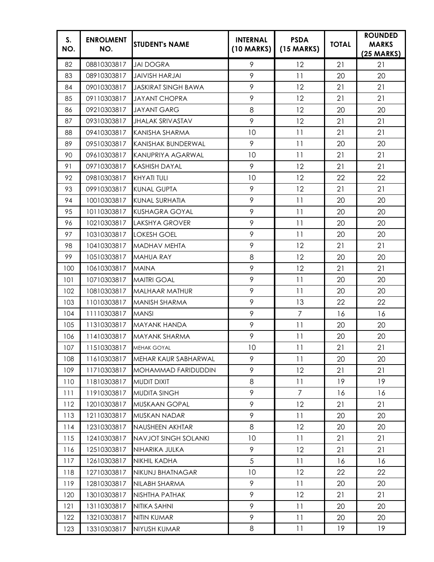| S.<br>NO. | <b>ENROLMENT</b><br>NO. | <b>STUDENT's NAME</b>       | <b>INTERNAL</b><br>$(10$ MARKS) | <b>PSDA</b><br>$(15$ MARKS) | <b>TOTAL</b> | <b>ROUNDED</b><br><b>MARKS</b><br>$(25 \text{ MARKS})$ |
|-----------|-------------------------|-----------------------------|---------------------------------|-----------------------------|--------------|--------------------------------------------------------|
| 82        | 08810303817             | <b>JAI DOGRA</b>            | 9                               | 12                          | 21           | 21                                                     |
| 83        | 08910303817             | <b>JAIVISH HARJAI</b>       | 9                               | 11                          | 20           | 20                                                     |
| 84        | 09010303817             | <b>JASKIRAT SINGH BAWA</b>  | 9                               | 12                          | 21           | 21                                                     |
| 85        | 09110303817             | <b>JAYANT CHOPRA</b>        | 9                               | 12                          | 21           | 21                                                     |
| 86        | 09210303817             | <b>JAYANT GARG</b>          | 8                               | 12                          | 20           | 20                                                     |
| 87        | 09310303817             | <b>JHALAK SRIVASTAV</b>     | 9                               | 12                          | 21           | 21                                                     |
| 88        | 09410303817             | KANISHA SHARMA              | 10                              | 11                          | 21           | 21                                                     |
| 89        | 09510303817             | <b>KANISHAK BUNDERWAL</b>   | 9                               | 11                          | 20           | 20                                                     |
| 90        | 09610303817             | <b>KANUPRIYA AGARWAL</b>    | 10                              | 11                          | 21           | 21                                                     |
| 91        | 09710303817             | <b>KASHISH DAYAL</b>        | 9                               | 12                          | 21           | 21                                                     |
| 92        | 09810303817             | <b>KHYATI TULI</b>          | 10                              | 12                          | 22           | 22                                                     |
| 93        | 09910303817             | <b>KUNAL GUPTA</b>          | 9                               | 12                          | 21           | 21                                                     |
| 94        | 10010303817             | KUNAL SURHATIA              | 9                               | 11                          | 20           | 20                                                     |
| 95        | 10110303817             | <b>KUSHAGRA GOYAL</b>       | 9                               | 11                          | 20           | 20                                                     |
| 96        | 10210303817             | <b>LAKSHYA GROVER</b>       | 9                               | 11                          | 20           | 20                                                     |
| 97        | 10310303817             | <b>LOKESH GOEL</b>          | 9                               | 11                          | 20           | 20                                                     |
| 98        | 10410303817             | <b>MADHAV MEHTA</b>         | 9                               | 12                          | 21           | 21                                                     |
| 99        | 10510303817             | <b>MAHUA RAY</b>            | 8                               | 12                          | 20           | 20                                                     |
| 100       | 10610303817             | <b>MAINA</b>                | 9                               | 12                          | 21           | 21                                                     |
| 101       | 10710303817             | <b>MAITRI GOAL</b>          | 9                               | 11                          | 20           | 20                                                     |
| 102       | 10810303817             | <b>MALHAAR MATHUR</b>       | 9                               | 11                          | 20           | 20                                                     |
| 103       | 11010303817             | <b>MANISH SHARMA</b>        | 9                               | 13                          | 22           | 22                                                     |
| 104       | 11110303817             | <b>MANSI</b>                | 9                               | $\overline{7}$              | 16           | 16                                                     |
| 105       | 11310303817             | MAYANK HANDA                | 9                               | 11                          | 20           | 20                                                     |
| 106       | 11410303817             | MAYANK SHARMA               | 9                               | 11                          | 20           | 20                                                     |
| 107       | 11510303817             | MEHAK GOYAL                 | 10                              | 11                          | 21           | 21                                                     |
| 108       | 11610303817             | MEHAR KAUR SABHARWAL        | 9                               | 11                          | 20           | 20                                                     |
| 109       | 11710303817             | MOHAMMAD FARIDUDDIN         | 9                               | 12                          | 21           | 21                                                     |
| 110       | 11810303817             | <b>MUDIT DIXIT</b>          | 8                               | 11                          | 19           | 19                                                     |
| 111       | 11910303817             | <b>MUDITA SINGH</b>         | 9                               | 7                           | 16           | 16                                                     |
| 112       | 12010303817             | MUSKAAN GOPAL               | 9                               | 12                          | 21           | 21                                                     |
| 113       | 12110303817             | MUSKAN NADAR                | 9                               | 11                          | 20           | 20                                                     |
| 114       | 12310303817             | NAUSHEEN AKHTAR             | 8                               | $12 \,$                     | 20           | 20                                                     |
| 115       | 12410303817             | <b>NAVJOT SINGH SOLANKI</b> | 10                              | 11                          | 21           | 21                                                     |
| 116       | 12510303817             | NIHARIKA JULKA              | 9                               | 12                          | 21           | 21                                                     |
| 117       | 12610303817             | NIKHIL KADHA                | 5                               | 11                          | 16           | 16                                                     |
| 118       | 12710303817             | NIKUNJ BHATNAGAR            | 10                              | 12                          | 22           | 22                                                     |
| 119       | 12810303817             | NILABH SHARMA               | 9                               | 11                          | 20           | 20                                                     |
| 120       | 13010303817             | NISHTHA PATHAK              | 9                               | $12 \,$                     | 21           | 21                                                     |
| 121       | 13110303817             | NITIKA SAHNI                | 9                               | 11                          | 20           | 20                                                     |
| 122       | 13210303817             | NITIN KUMAR                 | 9                               | 11                          | 20           | 20                                                     |
| 123       | 13310303817             | NIYUSH KUMAR                | 8                               | 11                          | 19           | 19                                                     |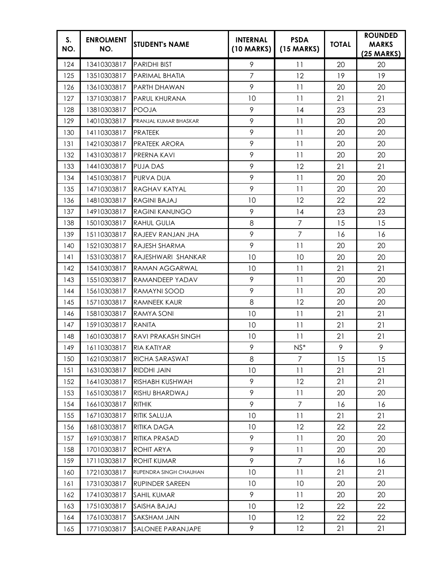| S.<br>NO. | <b>ENROLMENT</b><br>NO. | <b>STUDENT's NAME</b>     | <b>INTERNAL</b><br>$(10$ MARKS) | <b>PSDA</b><br>$(15$ MARKS) | <b>TOTAL</b> | <b>ROUNDED</b><br><b>MARKS</b><br>$(25 \text{ MARKS})$ |
|-----------|-------------------------|---------------------------|---------------------------------|-----------------------------|--------------|--------------------------------------------------------|
| 124       | 13410303817             | <b>PARIDHI BIST</b>       | 9                               | 11                          | 20           | 20                                                     |
| 125       | 13510303817             | PARIMAL BHATIA            | $\overline{7}$                  | 12                          | 19           | 19                                                     |
| 126       | 13610303817             | PARTH DHAWAN              | 9                               | 11                          | 20           | 20                                                     |
| 127       | 13710303817             | PARUL KHURANA             | 10                              | 11                          | 21           | 21                                                     |
| 128       | 13810303817             | <b>POOJA</b>              | 9                               | 14                          | 23           | 23                                                     |
| 129       | 14010303817             | PRANJAL KUMAR BHASKAR     | 9                               | 11                          | 20           | 20                                                     |
| 130       | 14110303817             | <b>PRATEEK</b>            | 9                               | 11                          | 20           | 20                                                     |
| 131       | 14210303817             | <b>PRATEEK ARORA</b>      | 9                               | 11                          | 20           | 20                                                     |
| 132       | 14310303817             | PRERNA KAVI               | 9                               | 11                          | 20           | 20                                                     |
| 133       | 14410303817             | <b>PUJA DAS</b>           | 9                               | 12                          | 21           | 21                                                     |
| 134       | 14510303817             | <b>PURVA DUA</b>          | 9                               | 11                          | 20           | 20                                                     |
| 135       | 14710303817             | <b>RAGHAV KATYAL</b>      | 9                               | 11                          | 20           | 20                                                     |
| 136       | 14810303817             | <b>RAGINI BAJAJ</b>       | 10                              | 12                          | 22           | 22                                                     |
| 137       | 14910303817             | <b>RAGINI KANUNGO</b>     | 9                               | 14                          | 23           | 23                                                     |
| 138       | 15010303817             | <b>RAHUL GULIA</b>        | 8                               | $\overline{7}$              | 15           | 15                                                     |
| 139       | 15110303817             | RAJEEV RANJAN JHA         | 9                               | $\overline{7}$              | 16           | 16                                                     |
| 140       | 15210303817             | RAJESH SHARMA             | 9                               | 11                          | 20           | 20                                                     |
| 141       | 15310303817             | RAJESHWARI SHANKAR        | 10                              | 10                          | 20           | 20                                                     |
| 142       | 15410303817             | RAMAN AGGARWAL            | 10                              | 11                          | 21           | 21                                                     |
| 143       | 15510303817             | RAMANDEEP YADAV           | 9                               | 11                          | 20           | 20                                                     |
| 144       | 15610303817             | RAMAYNI SOOD              | 9                               | 11                          | 20           | 20                                                     |
| 145       | 15710303817             | <b>RAMNEEK KAUR</b>       | 8                               | 12                          | 20           | 20                                                     |
| 146       | 15810303817             | RAMYA SONI                | 10                              | 11                          | 21           | 21                                                     |
| 147       | 15910303817             | <b>RANITA</b>             | 10                              | 11                          | 21           | 21                                                     |
| 148       | 16010303817             | <b>RAVI PRAKASH SINGH</b> | 10                              | 11                          | 21           | 21                                                     |
| 149       | 16110303817             | <b>RIA KATIYAR</b>        | 9                               | $NS*$                       | 9            | 9                                                      |
| 150       | 16210303817             | RICHA SARASWAT            | 8                               | 7                           | 15           | 15                                                     |
| 151       | 16310303817             | RIDDHI JAIN               | 10                              | 11                          | 21           | 21                                                     |
| 152       | 16410303817             | RISHABH KUSHWAH           | 9                               | 12                          | 21           | 21                                                     |
| 153       | 16510303817             | RISHU BHARDWAJ            | 9                               | 11                          | 20           | 20                                                     |
| 154       | 16610303817             | <b>RITHIK</b>             | 9                               | $\overline{7}$              | 16           | 16                                                     |
| 155       | 16710303817             | RITIK SALUJA              | 10                              | 11                          | 21           | 21                                                     |
| 156       | 16810303817             | RITIKA DAGA               | 10                              | $12 \,$                     | 22           | 22                                                     |
| 157       | 16910303817             | RITIKA PRASAD             | 9                               | 11                          | 20           | 20                                                     |
| 158       | 17010303817             | ROHIT ARYA                | 9                               | 11                          | 20           | 20                                                     |
| 159       | 17110303817             | ROHIT KUMAR               | 9                               | $\overline{7}$              | 16           | 16                                                     |
| 160       | 17210303817             | RUPENDRA SINGH CHAUHAN    | 10                              | 11                          | 21           | 21                                                     |
| 161       | 17310303817             | <b>RUPINDER SAREEN</b>    | 10                              | 10                          | 20           | 20                                                     |
| 162       | 17410303817             | SAHIL KUMAR               | 9                               | 11                          | 20           | 20                                                     |
| 163       | 17510303817             | SAISHA BAJAJ              | 10                              | 12                          | 22           | 22                                                     |
| 164       | 17610303817             | SAKSHAM JAIN              | 10                              | 12                          | 22           | 22                                                     |
| 165       | 17710303817             | SALONEE PARANJAPE         | 9                               | 12                          | 21           | 21                                                     |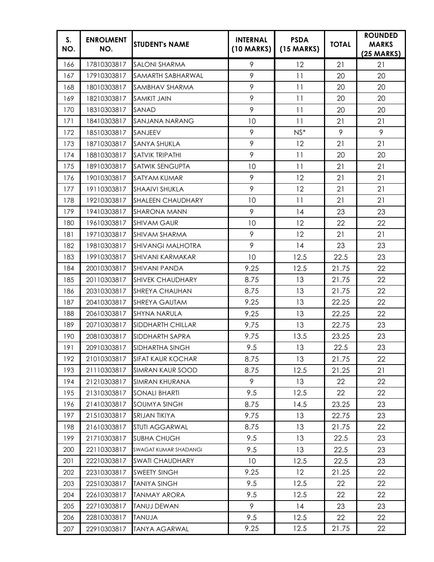| S.<br>NO. | <b>ENROLMENT</b><br>NO. | <b>STUDENT's NAME</b>    | <b>INTERNAL</b><br>$(10$ MARKS) | <b>PSDA</b><br>$(15$ MARKS) | <b>TOTAL</b> | <b>ROUNDED</b><br><b>MARKS</b><br>$(25 \text{ MARKS})$ |
|-----------|-------------------------|--------------------------|---------------------------------|-----------------------------|--------------|--------------------------------------------------------|
| 166       | 17810303817             | <b>SALONI SHARMA</b>     | 9                               | 12                          | 21           | 21                                                     |
| 167       | 17910303817             | SAMARTH SABHARWAL        | 9                               | 11                          | 20           | 20                                                     |
| 168       | 18010303817             | SAMBHAV SHARMA           | 9                               | 11                          | 20           | 20                                                     |
| 169       | 18210303817             | <b>SAMKIT JAIN</b>       | 9                               | 11                          | 20           | 20                                                     |
| 170       | 18310303817             | SANAD                    | 9                               | 11                          | 20           | 20                                                     |
| 171       | 18410303817             | SANJANA NARANG           | 10                              | 11                          | 21           | 21                                                     |
| 172       | 18510303817             | SANJEEV                  | 9                               | $NS^*$                      | 9            | 9                                                      |
| 173       | 18710303817             | <b>SANYA SHUKLA</b>      | 9                               | 12                          | 21           | 21                                                     |
| 174       | 18810303817             | <b>SATVIK TRIPATHI</b>   | 9                               | 11                          | 20           | 20                                                     |
| 175       | 18910303817             | <b>SATWIK SENGUPTA</b>   | 10                              | 11                          | 21           | 21                                                     |
| 176       | 19010303817             | <b>SATYAM KUMAR</b>      | 9                               | 12                          | 21           | 21                                                     |
| 177       | 19110303817             | <b>SHAAIVI SHUKLA</b>    | 9                               | 12                          | 21           | 21                                                     |
| 178       | 19210303817             | <b>SHALEEN CHAUDHARY</b> | 10                              | 11                          | 21           | 21                                                     |
| 179       | 19410303817             | <b>SHARONA MANN</b>      | 9                               | 14                          | 23           | 23                                                     |
| 180       | 19610303817             | <b>SHIVAM GAUR</b>       | 10                              | 12                          | 22           | 22                                                     |
| 181       | 19710303817             | <b>SHIVAM SHARMA</b>     | 9                               | 12                          | 21           | 21                                                     |
| 182       | 19810303817             | <b>SHIVANGI MALHOTRA</b> | 9                               | 14                          | 23           | 23                                                     |
| 183       | 19910303817             | <b>SHIVANI KARMAKAR</b>  | 10                              | 12.5                        | 22.5         | 23                                                     |
| 184       | 20010303817             | <b>SHIVANI PANDA</b>     | 9.25                            | 12.5                        | 21.75        | 22                                                     |
| 185       | 20110303817             | <b>SHIVEK CHAUDHARY</b>  | 8.75                            | 13                          | 21.75        | 22                                                     |
| 186       | 20310303817             | SHREYA CHAUHAN           | 8.75                            | 13                          | 21.75        | 22                                                     |
| 187       | 20410303817             | <b>SHREYA GAUTAM</b>     | 9.25                            | 13                          | 22.25        | 22                                                     |
| 188       | 20610303817             | <b>SHYNA NARULA</b>      | 9.25                            | 13                          | 22.25        | 22                                                     |
| 189       | 20710303817             | <b>SIDDHARTH CHILLAR</b> | 9.75                            | 13                          | 22.75        | 23                                                     |
| 190       | 20810303817             | SIDDHARTH SAPRA          | 9.75                            | 13.5                        | 23.25        | 23                                                     |
| 191       | 20910303817             | SIDHARTHA SINGH          | 9.5                             | 13                          | 22.5         | 23                                                     |
| 192       | 21010303817             | <b>SIFAT KAUR KOCHAR</b> | 8.75                            | 13                          | 21.75        | 22                                                     |
| 193       | 21110303817             | <b>SIMRAN KAUR SOOD</b>  | 8.75                            | 12.5                        | 21.25        | 21                                                     |
| 194       | 21210303817             | <b>SIMRAN KHURANA</b>    | 9                               | 13                          | 22           | 22                                                     |
| 195       | 21310303817             | <b>SONALI BHARTI</b>     | 9.5                             | 12.5                        | 22           | 22                                                     |
| 196       | 21410303817             | <b>SOUMYA SINGH</b>      | 8.75                            | 14.5                        | 23.25        | 23                                                     |
| 197       | 21510303817             | SRIJAN TIKIYA            | 9.75                            | 13                          | 22.75        | 23                                                     |
| 198       | 21610303817             | STUTI AGGARWAL           | 8.75                            | 13                          | 21.75        | 22                                                     |
| 199       | 21710303817             | <b>SUBHA CHUGH</b>       | 9.5                             | 13                          | 22.5         | 23                                                     |
| 200       | 22110303817             | SWAGAT KUMAR SHADANGI    | 9.5                             | 13                          | 22.5         | 23                                                     |
| 201       | 22210303817             | <b>SWATI CHAUDHARY</b>   | 10                              | 12.5                        | 22.5         | 23                                                     |
| 202       | 22310303817             | <b>SWEETY SINGH</b>      | 9.25                            | 12                          | 21.25        | 22                                                     |
| 203       | 22510303817             | <b>TANIYA SINGH</b>      | 9.5                             | 12.5                        | 22           | 22                                                     |
| 204       | 22610303817             | <b>TANMAY ARORA</b>      | 9.5                             | 12.5                        | 22           | 22                                                     |
| 205       | 22710303817             | <b>TANUJ DEWAN</b>       | 9                               | 14                          | 23           | 23                                                     |
| 206       | 22810303817             | TANUJA                   | 9.5                             | 12.5                        | 22           | 22                                                     |
| 207       | 22910303817             | <b>TANYA AGARWAL</b>     | 9.25                            | 12.5                        | 21.75        | 22                                                     |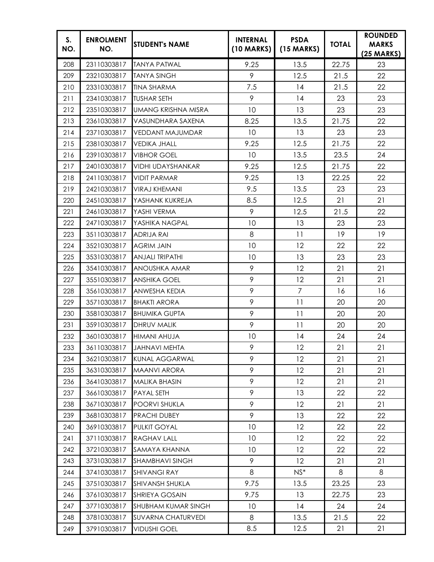| S.<br>NO. | <b>ENROLMENT</b><br>NO. | <b>STUDENT's NAME</b>     | <b>INTERNAL</b><br>$(10$ MARKS) | <b>PSDA</b><br>$(15$ MARKS) | <b>TOTAL</b> | <b>ROUNDED</b><br><b>MARKS</b><br>$(25$ MARKS) |
|-----------|-------------------------|---------------------------|---------------------------------|-----------------------------|--------------|------------------------------------------------|
| 208       | 23110303817             | <b>TANYA PATWAL</b>       | 9.25                            | 13.5                        | 22.75        | 23                                             |
| 209       | 23210303817             | <b>TANYA SINGH</b>        | 9                               | 12.5                        | 21.5         | 22                                             |
| 210       | 23310303817             | <b>TINA SHARMA</b>        | 7.5                             | 14                          | 21.5         | 22                                             |
| 211       | 23410303817             | <b>TUSHAR SETH</b>        | 9                               | 14                          | 23           | 23                                             |
| 212       | 23510303817             | UMANG KRISHNA MISRA       | 10                              | 13                          | 23           | 23                                             |
| 213       | 23610303817             | VASUNDHARA SAXENA         | 8.25                            | 13.5                        | 21.75        | 22                                             |
| 214       | 23710303817             | VEDDANT MAJUMDAR          | 10                              | 13                          | 23           | 23                                             |
| 215       | 23810303817             | <b>VEDIKA JHALL</b>       | 9.25                            | 12.5                        | 21.75        | 22                                             |
| 216       | 23910303817             | <b>VIBHOR GOEL</b>        | 10                              | 13.5                        | 23.5         | 24                                             |
| 217       | 24010303817             | VIDHI UDAYSHANKAR         | 9.25                            | 12.5                        | 21.75        | 22                                             |
| 218       | 24110303817             | <b>VIDIT PARMAR</b>       | 9.25                            | 13                          | 22.25        | 22                                             |
| 219       | 24210303817             | <b>VIRAJ KHEMANI</b>      | 9.5                             | 13.5                        | 23           | 23                                             |
| 220       | 24510303817             | YASHANK KUKREJA           | 8.5                             | 12.5                        | 21           | 21                                             |
| 221       | 24610303817             | YASHI VERMA               | 9                               | 12.5                        | 21.5         | 22                                             |
| 222       | 24710303817             | YASHIKA NAGPAL            | 10                              | 13                          | 23           | 23                                             |
| 223       | 35110303817             | ADRIJA RAI                | 8                               | 11                          | 19           | 19                                             |
| 224       | 35210303817             | <b>AGRIM JAIN</b>         | 10                              | 12                          | 22           | 22                                             |
| 225       | 35310303817             | <b>ANJALI TRIPATHI</b>    | 10                              | 13                          | 23           | 23                                             |
| 226       | 35410303817             | ANOUSHKA AMAR             | 9                               | 12                          | 21           | 21                                             |
| 227       | 35510303817             | <b>ANSHIKA GOEL</b>       | 9                               | 12                          | 21           | 21                                             |
| 228       | 35610303817             | ANWESHA KEDIA             | 9                               | $\overline{7}$              | 16           | 16                                             |
| 229       | 35710303817             | <b>BHAKTI ARORA</b>       | 9                               | 11                          | 20           | 20                                             |
| 230       | 35810303817             | <b>BHUMIKA GUPTA</b>      | 9                               | 11                          | 20           | 20                                             |
| 231       | 35910303817             | DHRUV MALIK               | 9                               | 11                          | 20           | 20                                             |
| 232       | 36010303817             | <b>HIMANI AHUJA</b>       | 10                              | 14                          | 24           | 24                                             |
| 233       |                         | 36110303817 JAHNAVI MEHTA | 9                               | 12                          | 21           | 21                                             |
| 234       | 36210303817             | KUNAL AGGARWAL            | 9                               | $12 \overline{ }$           | 21           | 21                                             |
| 235       | 36310303817             | <b>MAANVI ARORA</b>       | 9                               | 12                          | 21           | 21                                             |
| 236       | 36410303817             | <b>MALIKA BHASIN</b>      | 9                               | 12                          | 21           | 21                                             |
| 237       | 36610303817             | PAYAL SETH                | 9                               | 13                          | 22           | 22                                             |
| 238       | 36710303817             | POORVI SHUKLA             | 9                               | 12                          | 21           | 21                                             |
| 239       | 36810303817             | PRACHI DUBEY              | 9                               | 13                          | 22           | 22                                             |
| 240       | 36910303817             | PULKIT GOYAL              | 10                              | $12 \,$                     | 22           | 22                                             |
| 241       | 37110303817             | RAGHAV LALL               | 10                              | 12                          | 22           | 22                                             |
| 242       | 37210303817             | SAMAYA KHANNA             | 10                              | 12                          | 22           | 22                                             |
| 243       | 37310303817             | SHAMBHAVI SINGH           | 9                               | 12                          | 21           | 21                                             |
| 244       | 37410303817             | <b>SHIVANGI RAY</b>       | 8                               | $NS^*$                      | 8            | 8                                              |
| 245       | 37510303817             | SHIVANSH SHUKLA           | 9.75                            | 13.5                        | 23.25        | 23                                             |
| 246       | 37610303817             | SHRIEYA GOSAIN            | 9.75                            | 13                          | 22.75        | 23                                             |
| 247       | 37710303817             | SHUBHAM KUMAR SINGH       | 10                              | 14                          | 24           | 24                                             |
| 248       | 37810303817             | <b>SUVARNA CHATURVEDI</b> | 8                               | 13.5                        | 21.5         | 22                                             |
| 249       | 37910303817             | <b>VIDUSHI GOEL</b>       | 8.5                             | 12.5                        | 21           | 21                                             |